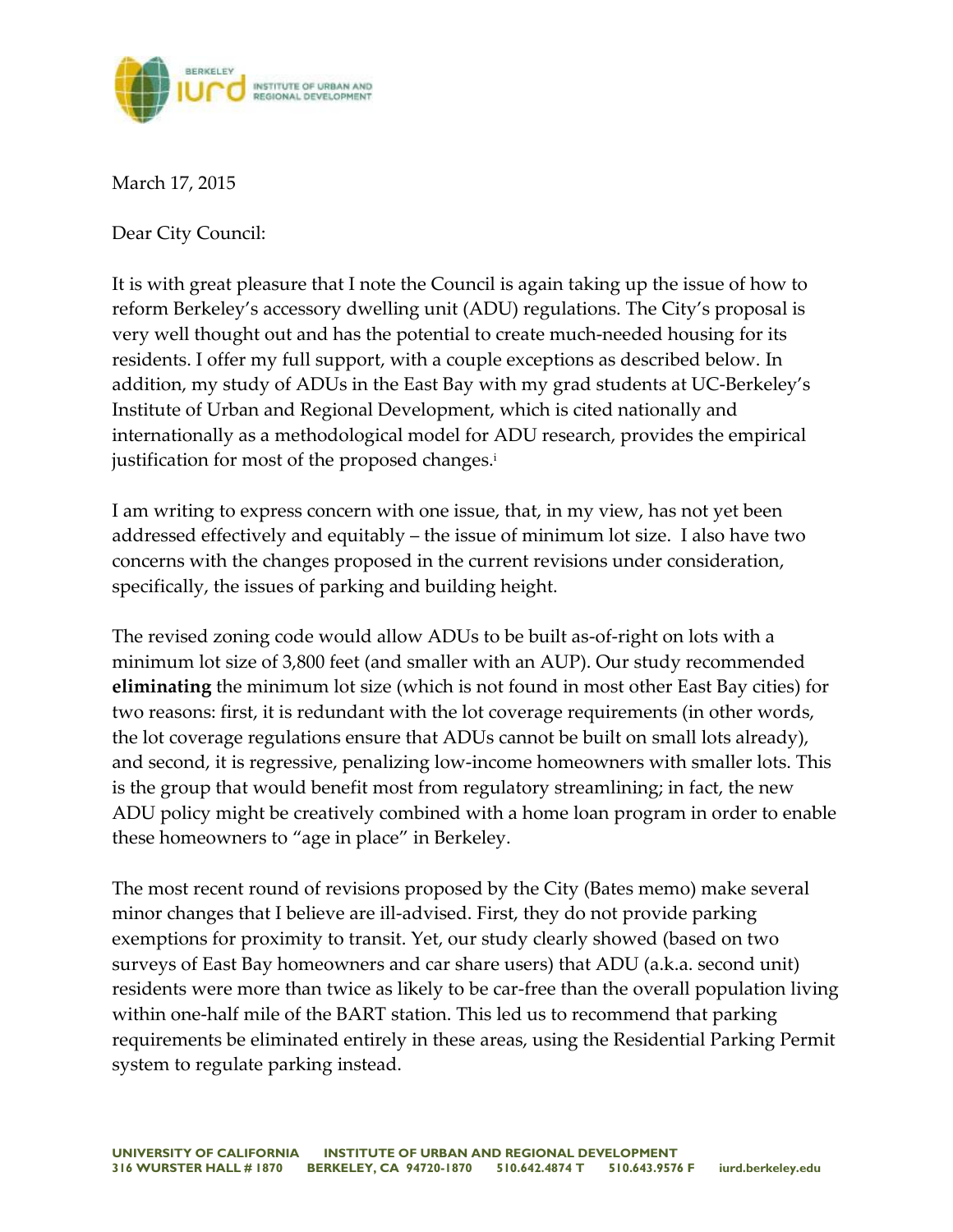

March 17, 2015

Dear City Council:

It is with great pleasure that I note the Council is again taking up the issue of how to reform Berkeley's accessory dwelling unit (ADU) regulations. The City's proposal is very well thought out and has the potential to create much-needed housing for its residents. I offer my full support, with a couple exceptions as described below. In addition, my study of ADUs in the East Bay with my grad students at UC-Berkeley's Institute of Urban and Regional Development, which is cited nationally and internationally as a methodological model for ADU research, provides the empirical justification for most of the proposed changes. i

I am writing to express concern with one issue, that, in my view, has not yet been addressed effectively and equitably – the issue of minimum lot size. I also have two concerns with the changes proposed in the current revisions under consideration, specifically, the issues of parking and building height.

The revised zoning code would allow ADUs to be built as-of-right on lots with a minimum lot size of 3,800 feet (and smaller with an AUP). Our study recommended **eliminating** the minimum lot size (which is not found in most other East Bay cities) for two reasons: first, it is redundant with the lot coverage requirements (in other words, the lot coverage regulations ensure that ADUs cannot be built on small lots already), and second, it is regressive, penalizing low-income homeowners with smaller lots. This is the group that would benefit most from regulatory streamlining; in fact, the new ADU policy might be creatively combined with a home loan program in order to enable these homeowners to "age in place" in Berkeley.

The most recent round of revisions proposed by the City (Bates memo) make several minor changes that I believe are ill-advised. First, they do not provide parking exemptions for proximity to transit. Yet, our study clearly showed (based on two surveys of East Bay homeowners and car share users) that ADU (a.k.a. second unit) residents were more than twice as likely to be car-free than the overall population living within one-half mile of the BART station. This led us to recommend that parking requirements be eliminated entirely in these areas, using the Residential Parking Permit system to regulate parking instead.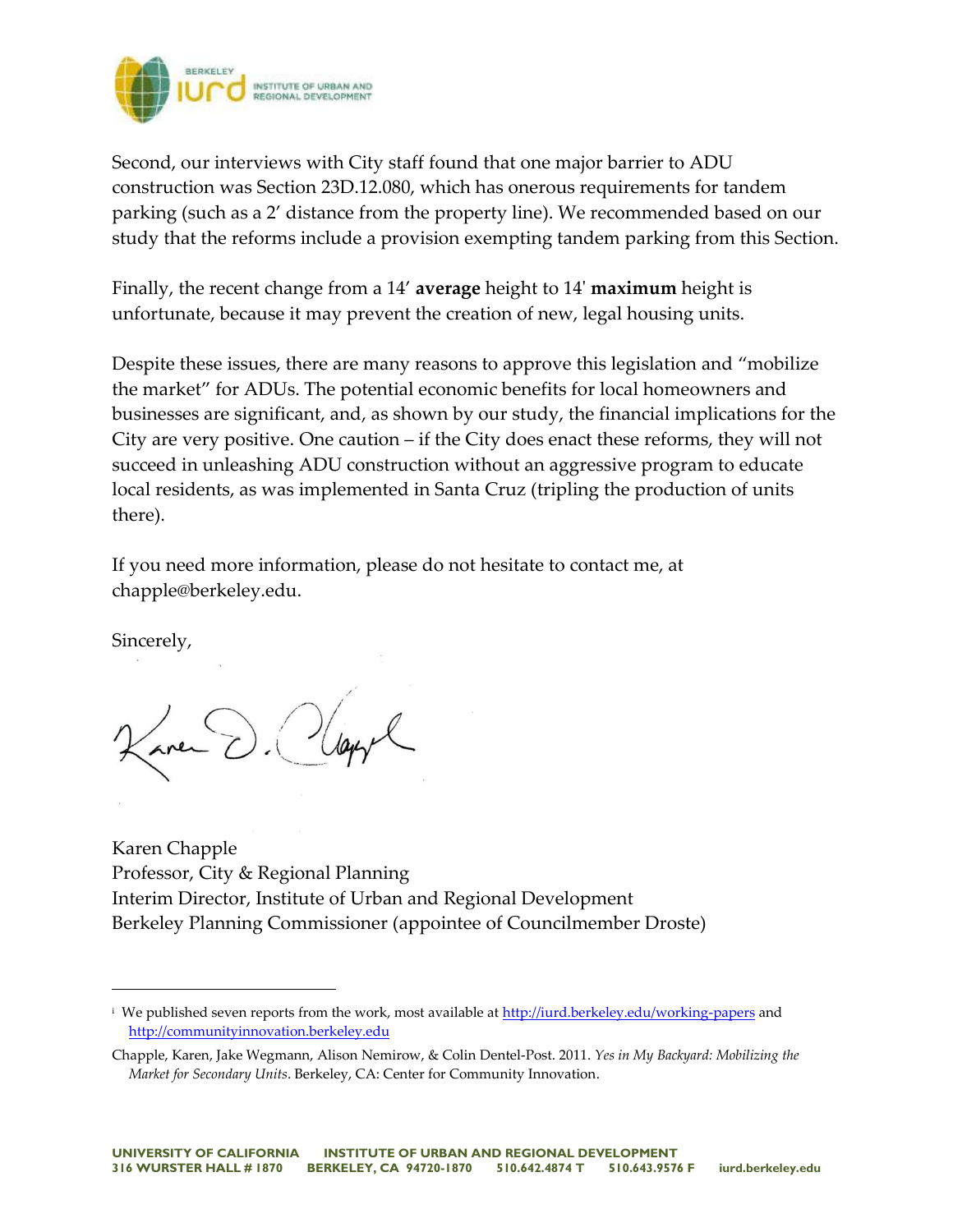

Second, our interviews with City staff found that one major barrier to ADU construction was Section 23D.12.080, which has onerous requirements for tandem parking (such as a 2' distance from the property line). We recommended based on our study that the reforms include a provision exempting tandem parking from this Section.

Finally, the recent change from a 14' **average** height to 14' **maximum** height is unfortunate, because it may prevent the creation of new, legal housing units.

Despite these issues, there are many reasons to approve this legislation and "mobilize the market" for ADUs. The potential economic benefits for local homeowners and businesses are significant, and, as shown by our study, the financial implications for the City are very positive. One caution – if the City does enact these reforms, they will not succeed in unleashing ADU construction without an aggressive program to educate local residents, as was implemented in Santa Cruz (tripling the production of units there).

If you need more information, please do not hesitate to contact me, at chapple@berkeley.edu.

Sincerely,

 $\overline{a}$ 

Karen Chapple Professor, City & Regional Planning Interim Director, Institute of Urban and Regional Development Berkeley Planning Commissioner (appointee of Councilmember Droste)

<sup>&</sup>lt;sup>i</sup> We published seven reports from the work, most available at<http://iurd.berkeley.edu/working-papers> and [http://communityinnovation.berkeley.edu](http://communityinnovation.berkeley.edu/)

Chapple, Karen, Jake Wegmann, Alison Nemirow, & Colin Dentel-Post. 2011. *Yes in My Backyard: Mobilizing the Market for Secondary Units*. Berkeley, CA: Center for Community Innovation.